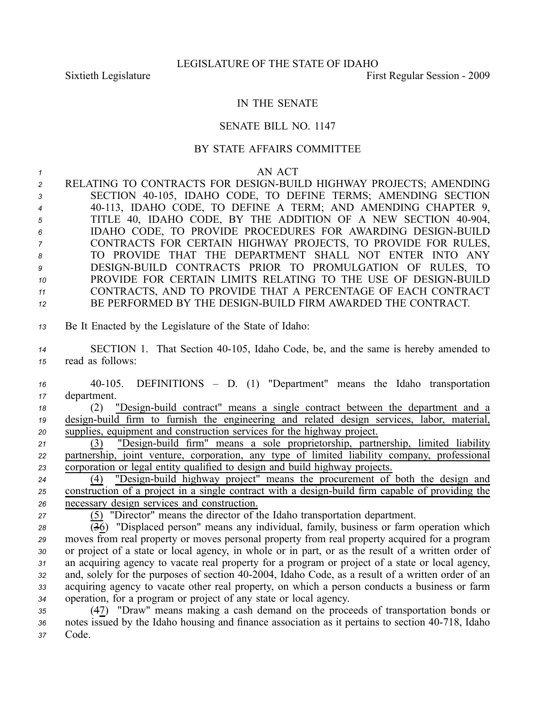## IN THE SENATE

## SENATE BILL NO. 1147

## BY STATE AFFAIRS COMMITTEE

*1* AN ACT **2** RELATING TO CONTRACTS FOR DESIGN-BUILD HIGHWAY PROJECTS; AMENDING *<sup>3</sup>* SECTION 40105, IDAHO CODE, TO DEFINE TERMS; AMENDING SECTION *<sup>4</sup>* 40113, IDAHO CODE, TO DEFINE A TERM; AND AMENDING CHAPTER 9, 5 TITLE 40, IDAHO CODE, BY THE ADDITION OF A NEW SECTION 40-904, 6 IDAHO CODE, TO PROVIDE PROCEDURES FOR AWARDING DESIGN-BUILD *<sup>7</sup>* CONTRACTS FOR CERTAIN HIGHWAY PROJECTS, TO PROVIDE FOR RULES, *8* TO PROVIDE THAT THE DEPARTMENT SHALL NOT ENTER INTO ANY 9 DESIGN-BUILD CONTRACTS PRIOR TO PROMULGATION OF RULES, TO 10 PROVIDE FOR CERTAIN LIMITS RELATING TO THE USE OF DESIGN-BUILD

- *<sup>11</sup>* CONTRACTS, AND TO PROVIDE THAT A PERCENTAGE OF EACH CONTRACT
- 12 BE PERFORMED BY THE DESIGN-BUILD FIRM AWARDED THE CONTRACT.
- *<sup>13</sup>* Be It Enacted by the Legislature of the State of Idaho:
- 14 **SECTION 1.** That Section 40-105, Idaho Code, be, and the same is hereby amended to *<sup>15</sup>* read as follows:

*<sup>16</sup>* 40105. DEFINITIONS – D. (1) "Department" means the Idaho transportation *<sup>17</sup>* department.

*18* (2) "Design-build contract" means a single contract between the department and a 19 design-build firm to furnish the engineering and related design services, labor, material, *<sup>20</sup>* supplies, equipment and construction services for the highway project.

21 (3) "Design-build firm" means a sole proprietorship, partnership, limited liability *<sup>22</sup>* partnership, joint venture, corporation, any type of limited liability company, professional *<sup>23</sup>* corporation or legal entity qualified to design and build highway projects.

24 (4) "Design-build highway project" means the procurement of both the design and 25 construction of a project in a single contract with a design-build firm capable of providing the *<sup>26</sup>* necessary design services and construction.

*<sup>27</sup>* (5) "Director" means the director of the Idaho transportation department.

 (36) "Displaced person" means any individual, family, business or farm operation which moves from real property or moves personal property from real property acquired for <sup>a</sup> program or project of <sup>a</sup> state or local agency, in whole or in part, or as the result of <sup>a</sup> written order of an acquiring agency to vacate real property for <sup>a</sup> program or project of <sup>a</sup> state or local agency, and, solely for the purposes of section 402004, Idaho Code, as <sup>a</sup> result of <sup>a</sup> written order of an acquiring agency to vacate other real property, on which <sup>a</sup> person conducts <sup>a</sup> business or farm operation, for <sup>a</sup> program or project of any state or local agency.

*<sup>35</sup>* (47) "Draw" means making <sup>a</sup> cash demand on the proceeds of transportation bonds or 36 notes issued by the Idaho housing and finance association as it pertains to section 40-718, Idaho *<sup>37</sup>* Code.